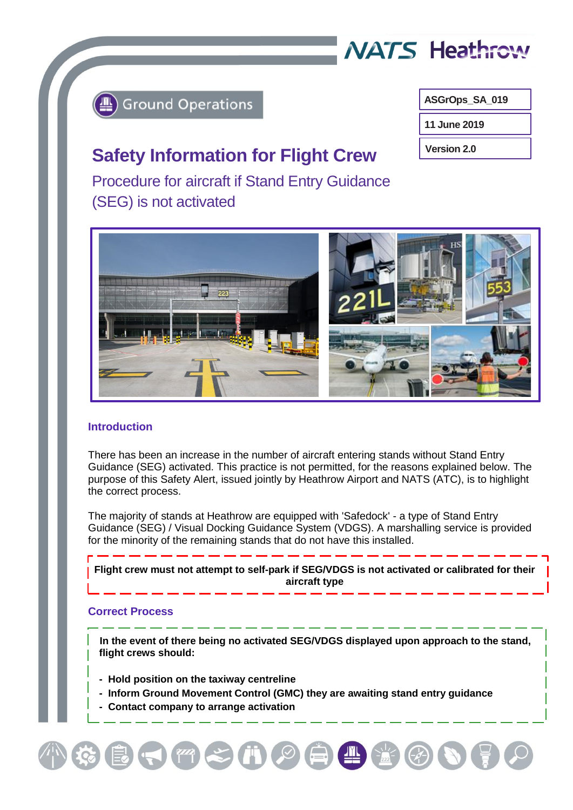

# **Ground Operations**

ł

**ASGrOps\_SA\_019**

**11 June 2019**

**Version 2.0**

# **Safety Information for Flight Crew**

Procedure for aircraft if Stand Entry Guidance (SEG) is not activated



# **Introduction**

There has been an increase in the number of aircraft entering stands without Stand Entry Guidance (SEG) activated. This practice is not permitted, for the reasons explained below. The purpose of this Safety Alert, issued jointly by Heathrow Airport and NATS (ATC), is to highlight the correct process.

The majority of stands at Heathrow are equipped with 'Safedock' - a type of Stand Entry Guidance (SEG) / Visual Docking Guidance System (VDGS). A marshalling service is provided for the minority of the remaining stands that do not have this installed.

**Flight crew must not attempt to self-park if SEG/VDGS is not activated or calibrated for their aircraft type**

# **Correct Process**

 **In the event of there being no activated SEG/VDGS displayed upon approach to the stand, flight crews should:** 

- **Hold position on the taxiway centreline**
- **Inform Ground Movement Control (GMC) they are awaiting stand entry guidance**

 $\left( \begin{array}{c} \text{ }\\ \text{ }\\ \text{ } \end{array} \right)\left( \begin{array}{c} \text{ }\\ \text{ }\\ \end{array} \right)\left( \begin{array}{c} \text{ }\\ \text{ }\\ \end{array} \right)\left( \begin{array}{c} \text{ }\\ \text{ }\\ \end{array} \right)\left( \begin{array}{c} \text{ }\\ \text{ }\\ \end{array} \right)\left( \begin{array}{c} \text{ }\\ \text{ }\\ \end{array} \right)\left( \begin{array}{c} \text{ }\\ \text{ }\\ \text{ }\\ \end{array} \right)\left( \begin{array}{c} \text{ }\\ \text{ }\\ \end$ 

 **- Contact company to arrange activation**